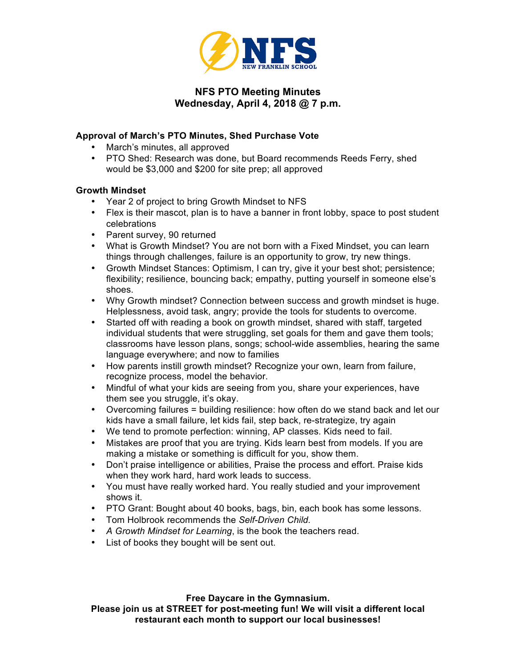

# **NFS PTO Meeting Minutes Wednesday, April 4, 2018 @ 7 p.m.**

## **Approval of March's PTO Minutes, Shed Purchase Vote**

- March's minutes, all approved
- PTO Shed: Research was done, but Board recommends Reeds Ferry, shed would be \$3,000 and \$200 for site prep; all approved

## **Growth Mindset**

- Year 2 of project to bring Growth Mindset to NFS
- Flex is their mascot, plan is to have a banner in front lobby, space to post student celebrations
- Parent survey, 90 returned
- What is Growth Mindset? You are not born with a Fixed Mindset, you can learn things through challenges, failure is an opportunity to grow, try new things.
- Growth Mindset Stances: Optimism, I can try, give it your best shot; persistence; flexibility; resilience, bouncing back; empathy, putting yourself in someone else's shoes.
- Why Growth mindset? Connection between success and growth mindset is huge. Helplessness, avoid task, angry; provide the tools for students to overcome.
- Started off with reading a book on growth mindset, shared with staff, targeted individual students that were struggling, set goals for them and gave them tools; classrooms have lesson plans, songs; school-wide assemblies, hearing the same language everywhere; and now to families
- How parents instill growth mindset? Recognize your own, learn from failure, recognize process, model the behavior.
- Mindful of what your kids are seeing from you, share your experiences, have them see you struggle, it's okay.
- Overcoming failures = building resilience: how often do we stand back and let our kids have a small failure, let kids fail, step back, re-strategize, try again
- We tend to promote perfection: winning, AP classes. Kids need to fail.
- Mistakes are proof that you are trying. Kids learn best from models. If you are making a mistake or something is difficult for you, show them.
- Don't praise intelligence or abilities, Praise the process and effort. Praise kids when they work hard, hard work leads to success.
- You must have really worked hard. You really studied and your improvement shows it.
- PTO Grant: Bought about 40 books, bags, bin, each book has some lessons.
- Tom Holbrook recommends the *Self-Driven Child.*
- *A Growth Mindset for Learning*, is the book the teachers read.
- List of books they bought will be sent out.

**Free Daycare in the Gymnasium.** 

**Please join us at STREET for post-meeting fun! We will visit a different local restaurant each month to support our local businesses!**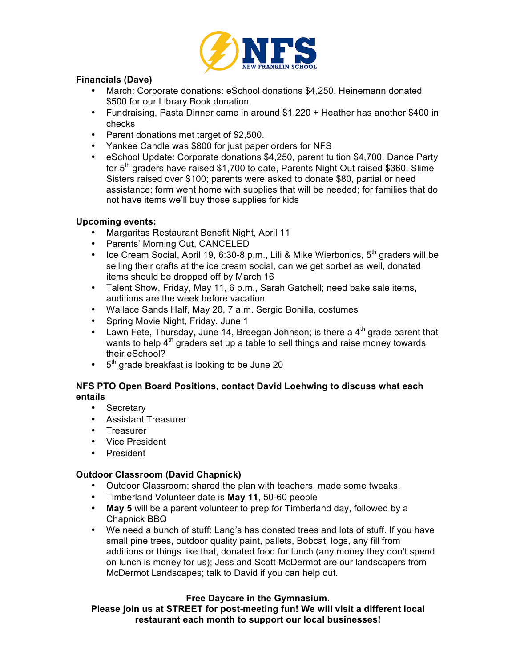

### **Financials (Dave)**

- March: Corporate donations: eSchool donations \$4,250. Heinemann donated \$500 for our Library Book donation.
- Fundraising, Pasta Dinner came in around \$1,220 + Heather has another \$400 in checks
- Parent donations met target of \$2,500.
- Yankee Candle was \$800 for just paper orders for NFS
- eSchool Update: Corporate donations \$4,250, parent tuition \$4,700, Dance Party for  $5<sup>th</sup>$  graders have raised \$1,700 to date, Parents Night Out raised \$360, Slime Sisters raised over \$100; parents were asked to donate \$80, partial or need assistance; form went home with supplies that will be needed; for families that do not have items we'll buy those supplies for kids

#### **Upcoming events:**

- Margaritas Restaurant Benefit Night, April 11
- Parents' Morning Out, CANCELED
- Ice Cream Social, April 19, 6:30-8 p.m., Lili & Mike Wierbonics,  $5<sup>th</sup>$  graders will be selling their crafts at the ice cream social, can we get sorbet as well, donated items should be dropped off by March 16
- Talent Show, Friday, May 11, 6 p.m., Sarah Gatchell; need bake sale items, auditions are the week before vacation
- Wallace Sands Half, May 20, 7 a.m. Sergio Bonilla, costumes
- Spring Movie Night, Friday, June 1
- Lawn Fete, Thursday, June 14, Breegan Johnson; is there a  $4<sup>th</sup>$  grade parent that wants to help  $4<sup>th</sup>$  graders set up a table to sell things and raise money towards their eSchool?
- $\cdot$  5<sup>th</sup> grade breakfast is looking to be June 20

## **NFS PTO Open Board Positions, contact David Loehwing to discuss what each entails**

- Secretary
- Assistant Treasurer
- Treasurer
- Vice President
- President

## **Outdoor Classroom (David Chapnick)**

- Outdoor Classroom: shared the plan with teachers, made some tweaks.
- Timberland Volunteer date is **May 11**, 50-60 people
- **May 5** will be a parent volunteer to prep for Timberland day, followed by a Chapnick BBQ
- We need a bunch of stuff: Lang's has donated trees and lots of stuff. If you have small pine trees, outdoor quality paint, pallets, Bobcat, logs, any fill from additions or things like that, donated food for lunch (any money they don't spend on lunch is money for us); Jess and Scott McDermot are our landscapers from McDermot Landscapes; talk to David if you can help out.

## **Free Daycare in the Gymnasium.**

**Please join us at STREET for post-meeting fun! We will visit a different local restaurant each month to support our local businesses!**